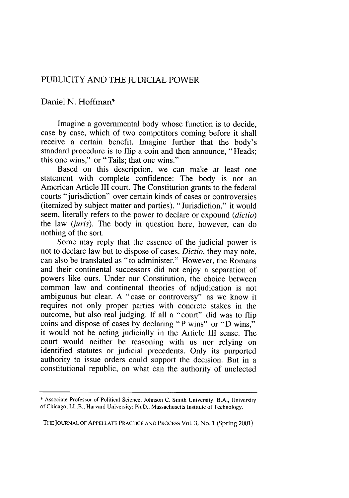## PUBLICITY AND THE JUDICIAL POWER

## Daniel N. Hoffman\*

Imagine a governmental body whose function is to decide, case by case, which of two competitors coming before it shall receive a certain benefit. Imagine further that the body's standard procedure is to flip a coin and then announce, "Heads; this one wins," or "Tails; that one wins."

Based on this description, we can make at least one statement with complete confidence: The body is not an American Article III court. The Constitution grants to the federal courts "jurisdiction" over certain kinds of cases or controversies (itemized by subject matter and parties). "Jurisdiction," it would seem, literally refers to the power to declare or expound *(dictio)* the law *(juris).* The body in question here, however, can do nothing of the sort.

Some may reply that the essence of the judicial power is not to declare law but to dispose of cases. *Dictio,* they may note, can also be translated as "to administer." However, the Romans and their continental successors did not enjoy a separation of powers like ours. Under our Constitution, the choice between common law and continental theories of adjudication is not ambiguous but clear. A "case or controversy" as we know it requires not only proper parties with concrete stakes in the outcome, but also real judging. If all a "court" did was to flip coins and dispose of cases by declaring "P wins" or "D wins," it would not be acting judicially in the Article III sense. The court would neither be reasoning with us nor relying on identified statutes or judicial precedents. Only its purported authority to issue orders could support the decision. But in a constitutional republic, on what can the authority of unelected

THE JOURNAL OF APPELLATE PRACTICE AND PROCESS Vol. 3, No. **1** (Spring 2001)

<sup>\*</sup> Associate Professor of Political Science, Johnson C. Smith University. B.A., University of Chicago; LL.B., Harvard University; Ph.D., Massachusetts Institute of Technology.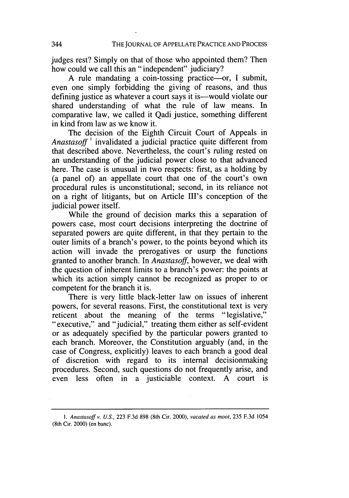judges rest? Simply on that of those who appointed them? Then how could we call this an "independent" judiciary?

A rule mandating a coin-tossing practice-or, I submit, even one simply forbidding the giving of reasons, and thus defining justice as whatever a court says it is—would violate our shared understanding of what the rule of law means. In comparative law, we called it Qadi justice, something different in kind from law as we know it.

The decision of the Eighth Circuit Court of Appeals in *Anastasoff'* invalidated a judicial practice quite different from that described above. Nevertheless, the court's ruling rested on an understanding of the judicial power close to that advanced here. The case is unusual in two respects: first, as a holding by (a panel of) an appellate court that one of the court's own procedural rules is unconstitutional; second, in its reliance not on a right of litigants, but on Article III's conception of the judicial power itself.

While the ground of decision marks this a separation of powers case, most court decisions interpreting the doctrine of separated powers are quite different, in that they pertain to the outer limits of a branch's power, to the points beyond which its action will invade the prerogatives or usurp the functions granted to another branch. In *Anastasoff,* however, we deal with the question of inherent limits to a branch's power: the points at which its action simply cannot be recognized as proper to or competent for the branch it is.

There is very little black-letter law on issues of inherent powers, for several reasons. First, the constitutional text is very reticent about the meaning of the terms "legislative," "executive," and "judicial," treating them either as self-evident or as adequately specified by the particular powers granted to each branch. Moreover, the Constitution arguably (and, in the case of Congress, explicitly) leaves to each branch a good deal of discretion with regard to its internal decisionmaking procedures. Second, such questions do not frequently arise, and even less often in a justiciable context. A court is

*<sup>1.</sup> Anastasoff v. U.S.,* 223 F.3d 898 (8th Cir. 2000), *vacated as moot,* 235 F.3d 1054 (8th Cir. 2000) (en banc).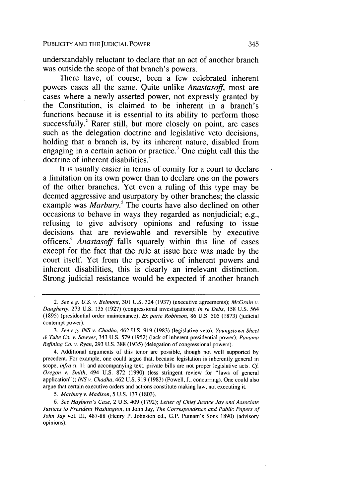understandably reluctant to declare that an act of another branch was outside the scope of that branch's powers.

There have, of course, been a few celebrated inherent powers cases all the same. Quite unlike *Anastasoff,* most are cases where a newly asserted power, not expressly granted by the Constitution, is claimed to be inherent in a branch's functions because it is essential to its ability to perform those successfully.<sup>2</sup> Rarer still, but more closely on point, are cases such as the delegation doctrine and legislative veto decisions, holding that a branch is, by its inherent nature, disabled from engaging in a certain action or practice.<sup>3</sup> One might call this the doctrine of inherent disabilities.

It is usually easier in terms of comity for a court to declare a limitation on its own power than to declare one on the powers of the other branches. Yet even a ruling of this type may be deemed aggressive and usurpatory by other branches; the classic example was *Marbury*.<sup>5</sup> The courts have also declined on other occasions to behave in ways they regarded as nonjudicial; e.g., refusing to give advisory opinions and refusing to issue decisions that are reviewable and reversible by executive officers.6 *Anastasoff* falls squarely within this line of cases except for the fact that the rule at issue here was made by the court itself. Yet from the perspective of inherent powers and inherent disabilities, this is clearly an irrelevant distinction. Strong judicial resistance would be expected if another branch

6. See Hayburn's Case, 2 U.S. 409 (1792); *Letter* of Chief Justice Jay and Associate Justices to President Washington, in John Jay, The Correspondence and Public Papers of John Jay vol. III, 487-88 (Henry P. Johnston ed., **G.P.** Putnam's Sons 1890) (advisory opinions).

<sup>2.</sup> *See e.g. U.S.* v. Belmont, 301 U.S. 324 (1937) (executive agreements); McGrain v. *Daugherty,* 273 U.S. 135 (1927) (congressional investigations); *In re Debs,* 158 U.S. 564 (1895) (presidential order maintenance); *Ex parte Robinson,* 86 U.S. 505 (1873) (judicial contempt power).

<sup>3.</sup> See e.g. INS v. Chadha, 462 U.S. 919 (1983) (legislative veto); Youngstown Sheet & Tube Co. v. Sawyer, 343 U.S. 579 (1952) (lack of inherent presidential power); Panama Refining Co. *v.* Ryan, 293 U.S. 388 (1935) (delegation of congressional powers).

<sup>4.</sup> Additional arguments of this tenor are possible, though not well supported by precedent. For example, one could argue that, because legislation is inherently general in scope, *infra* n. 11 and accompanying text, private bills are not proper legislative acts. Cf. Oregon v. Smith, 494 U.S. 872 (1990) (less stringent review for "laws of general application"); INS v. Chadha, 462 U.S. 919 (1983) (Powell, J., concurring). One could also argue that certain executive orders and actions constitute making law, not executing it.

<sup>5.</sup> Marbury v. Madison, 5 U.S. 137 (1803).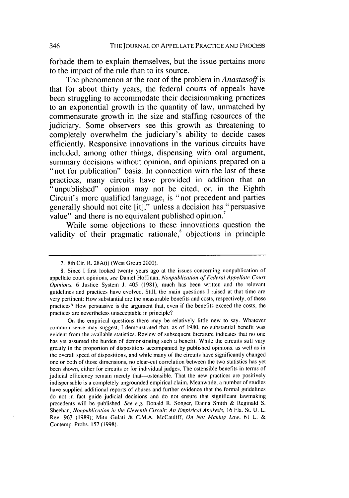forbade them to explain themselves, but the issue pertains more to the impact of the rule than to its source.

The phenomenon at the root of the problem in *Anastasoff* is that for about thirty years, the federal courts of appeals have been struggling to accommodate their decisionmaking practices to an exponential growth in the quantity of law, unmatched **by** commensurate growth in the size and staffing resources of the judiciary. Some observers see this growth as threatening to completely overwhelm the judiciary's ability to decide cases efficiently. Responsive innovations in the various circuits have included, among other things, dispensing with oral argument, summary decisions without opinion, and opinions prepared on a "not for publication" basis. In connection with the last of these practices, many circuits have provided in addition that an "unpublished" opinion may not be cited, or, in the Eighth Circuit's more qualified language, is "not precedent and parties generally should not cite [it]," unless a decision has "persuasive value" and there is no equivalent published opinion.<sup>7</sup>

While some objections to these innovations question the validity of their pragmatic rationale,<sup>8</sup> objections in principle

<sup>7. 8</sup>th Cir. R. 28A(i) (West Group 2000).

<sup>8.</sup> Since **I** first looked twenty years ago at the issues concerning nonpublication of appellate court opinions, *see* Daniel Hoffman, *Nonpublication of Federal Appellate Court Opinions,* 6 Justice System **J.** 405 (1981), much has been written and the relevant guidelines and practices have evolved. Still, the main questions **I** raised at that time are very pertinent: How substantial are the measurable benefits and costs, respectively, of these practices? How persuasive is the argument that, even if the benefits exceed the costs, the practices are nevertheless unacceptable in principle?

On the empirical questions there may be relatively little new to say. Whatever common sense may suggest, I demonstrated that, as of 1980, no substantial benefit was evident from the available statistics. Review of subsequent literature indicates that no one has yet assumed the burden of demonstrating such a benefit. While the circuits still vary greatly in the proportion of dispositions accompanied by published opinions, as well as in the overall speed of dispositions, and while many of the circuits have significantly changed one or both of those dimensions, no clear-cut correlation between the two statistics has yet been shown, either for circuits or for individual judges. The ostensible benefits in terms of judicial efficiency remain merely that-ostensible. That the new practices are positively indispensable is a completely ungrounded empirical claim. Meanwhile, a number of studies have supplied additional reports of abuses and further evidence that the formal guidelines do not in fact guide judicial decisions and do not ensure that significant lawmaking precedents will be published. *See e.g.* Donald R. Songer, Danna Smith & Reginald S. Sheehan, *Nonpublication in the Eleventh Circuit: An* Empirical Analysis, 16 Fla. St. U. L. Rev. 963 (1989); Mitu Gulati & C.M.A. McCauliff, *On Not Making* Law, 61 L. & Contemp. Probs. 157 (1998).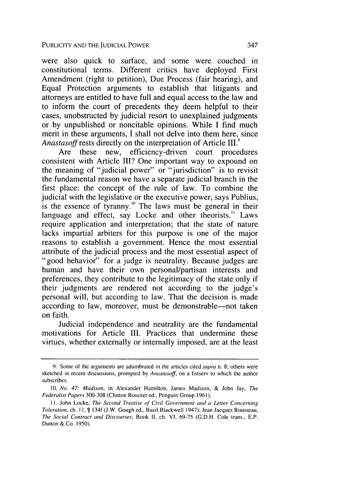were also quick to surface, and some were couched in constitutional terms. Different critics have deployed First Amendment (right to petition), Due Process (fair hearing), and Equal Protection arguments to establish that litigants and attorneys are entitled to have full and equal access to the law and to inform the court of precedents they deem helpful to their cases, unobstructed by judicial resort to unexplained judgments or by unpublished or noncitable opinions. While I find much merit in these arguments, I shall not delve into them here, since *Anastasoff* rests directly on the interpretation of Article III.

Are these new, efficiency-driven court procedures consistent with Article III? One important way to expound on the meaning of "judicial power" or "jurisdiction" is to revisit the fundamental reason we have a separate judicial branch in the first place: the concept of the rule of law. To combine the judicial with the legislative or the executive power, says Publius, is the essence of tyranny.<sup>10</sup> The laws must be general in their language and effect, say Locke and other theorists.<sup>"</sup> Laws require application and interpretation; that the state of nature lacks impartial arbiters for this purpose is one of the major reasons to establish a government. Hence the most essential attribute of the judicial process and the most essential aspect of "good behavior" for a judge is neutrality. Because judges are human and have their own personal/partisan interests and preferences, they contribute to the legitimacy of the state only if their judgments are rendered not according to the judge's personal will, but according to law. That the decision is made according to law, moreover, must be demonstrable—not taken on faith.

Judicial independence and neutrality are the fundamental motivations for Article III. Practices that undermine these virtues, whether externally or internally imposed, are at the least

<sup>9.</sup> Some of the arguments are adumbrated in the articles cited supra n. 8; others were sketched in recent discussions, prompted by Anastasoff, on a listserv to which the author subscribes.

<sup>10.</sup> *No.* 47: Madison, in Alexander Hamilton, James Madison, & John Jay, The Federalist Papers 300-308 (Clinton Rossiter ed., Penguin Group 1961).

**<sup>11.</sup>** John Locke, The Second Treatise of Civil Government and a Letter Concerning Toleration, ch. **11, \$** 134f **(J.W.** Gough ed., Basil Blackwell 1947); Jean Jacques Rousseau, The Social Contract and Discourses, Book **11,** ch. VI, 69-75 (G.D.H. Cole trans., E.P. Dutton & Co. 1950).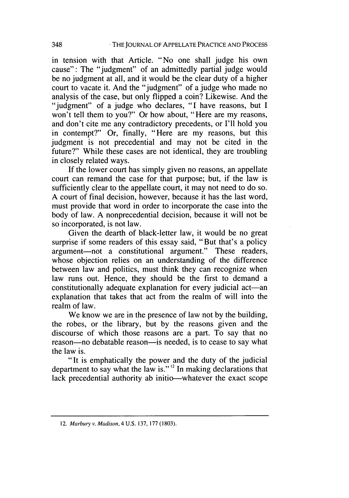in tension with that Article. "No one shall judge his own cause": The "judgment" of an admittedly partial judge would be no judgment at all, and it would be the clear duty of a higher court to vacate it. And the "judgment" of a judge who made no analysis of the case, but only flipped a coin? Likewise. And the "judgment" of a judge who declares, "I have reasons, but I won't tell them to you?" Or how about, "Here are my reasons, and don't cite me any contradictory precedents, or I'll hold you in contempt?" Or, finally, "Here are my reasons, but this judgment is not precedential and may not be cited in the future?" While these cases are not identical, they are troubling in closely related ways.

If the lower court has simply given no reasons, an appellate court can remand the case for that purpose; but, if the law is sufficiently clear to the appellate court, it may not need to do so. A court of final decision, however, because it has the last word, must provide that word in order to incorporate the case into the body of law. A nonprecedential decision, because it will not be so incorporated, is not law.

Given the dearth of black-letter law, it would be no great surprise if some readers of this essay said, "But that's a policy argument-not a constitutional argument." These readers, whose objection relies on an understanding of the difference between law and politics, must think they can recognize when law runs out. Hence, they should be the first to demand a constitutionally adequate explanation for every judicial act—an explanation that takes that act from the realm of will into the realm of law.

We know we are in the presence of law not by the building, the robes, or the library, but by the reasons given and the discourse of which those reasons are a part. To say that no reason--no debatable reason---is needed, is to cease to say what the law is.

"It is emphatically the power and the duty of the judicial department to say what the law is."<sup>12</sup> In making declarations that lack precedential authority ab initio-whatever the exact scope

<sup>12.</sup> Marbury v. Madison, 4 U.S. 137, 177 (1803).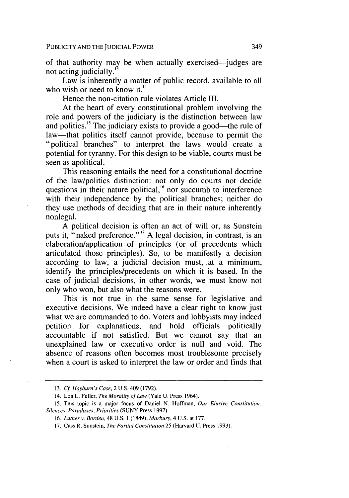of that authority may be when actually exercised—judges are not acting judicially.

Law is inherently a matter of public record, available to all who wish or need to know it.<sup>14</sup>

Hence the non-citation rule violates Article III.

At the heart of every constitutional problem involving the role and powers of the judiciary is the distinction between law and politics.<sup>15</sup> The judiciary exists to provide a good—the rule of law—that politics itself cannot provide, because to permit the "political branches" to interpret the laws would create a potential for tyranny. For this design to be viable, courts must be seen as apolitical.

This reasoning entails the need for a constitutional doctrine of the law/politics distinction: not only do courts not decide questions in their nature political, $<sup>16</sup>$  nor succumb to interference</sup> with their independence by the political branches; neither do they use methods of deciding that are in their nature inherently nonlegal.

A political decision is often an act of will or, as Sunstein puts it, "naked preference." **'"** A legal decision, in contrast, is an elaboration/application of principles (or of precedents which articulated those principles). So, to be manifestly a decision according to law, a judicial decision must, at a minimum, identify the principles/precedents on which it is based. In the case of judicial decisions, in other words, we must know not only who won, but also what the reasons were.

This is not true in the same sense for legislative and executive decisions. We indeed have a clear right to know just what we are commanded to do. Voters and lobbyists may indeed petition for explanations, and hold officials politically accountable if not satisfied. But we cannot say that an unexplained law or executive order is null and void. The absence of reasons often becomes most troublesome precisely when a court is asked to interpret the law or order and finds that

<sup>13.</sup> Cf Hayburn's Case, 2 U.S. 409 (1792).

<sup>14.</sup> Lon L. Fuller, The Morality of Law (Yale U. Press 1964).

<sup>15.</sup> This topic is a major focus of Daniel N. Hoffman, Our Elusive Constitution: *Silences, Paradoxes, Priorities* (SUNY Press 1997).

<sup>16.</sup> *Luther v. Borden,* 48 U.S. **I** (1849); *Marbury,* 4 U.S. at 177.

<sup>17.</sup> Cass R. Sunstein, *The Partial Constitution* 25 (Harvard U. Press 1993).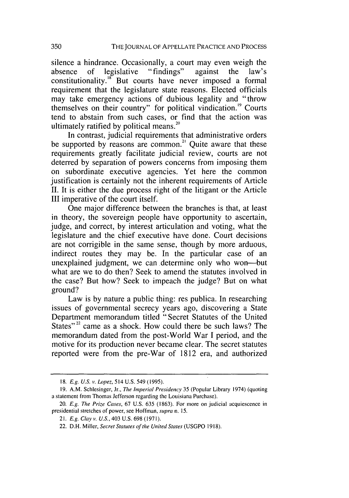silence a hindrance. Occasionally, a court may even weigh the absence of legislative "findings" against the law's constitutionality. $18$  But courts have never imposed a formal requirement that the legislature state reasons. Elected officials may take emergency actions of dubious legality and "throw themselves on their country" for political vindication.<sup>19</sup> Courts tend to abstain from such cases, or find that the action was ultimately ratified by political means.<sup>20</sup>

In contrast, judicial requirements that administrative orders be supported by reasons are common.<sup>21</sup> Ouite aware that these requirements greatly facilitate judicial review, courts are not deterred by separation of powers concerns from imposing them on subordinate executive agencies. Yet here the common justification is certainly not the inherent requirements of Article II. It is either the due process right of the litigant or the Article III imperative of the court itself.

One major difference between the branches is that, at least in theory, the sovereign people have opportunity to ascertain, judge, and correct, by interest articulation and voting, what the legislature and the chief executive have done. Court decisions are not corrigible in the same sense, though by more arduous, indirect routes they may be. In the particular case of an unexplained judgment, we can determine only who won--but what are we to do then? Seek to amend the statutes involved in the case? But how? Seek to impeach the judge? But on what ground?

Law is by nature a public thing: res publica. In researching issues of governmental secrecy years ago, discovering a State Department memorandum titled "Secret Statutes of the United States"<sup>22</sup> came as a shock. How could there be such laws? The memorandum dated from the post-World War I period, and the motive for its production never became clear. The secret statutes reported were from the pre-War of 1812 era, and authorized

<sup>18.</sup> *E.g. U.S. v.* Lopez, 514 U.S. 549 (1995).

<sup>19.</sup> A.M. Schlesinger, Jr., The Imperial Presidency 35 (Popular Library 1974) (quoting a statement from Thomas Jefferson regarding the Louisiana Purchase).

<sup>20.</sup> E.g. The Prize Cases, 67 U.S. 635 (1863). For more on judicial acquiescence in presidential stretches of power, see Hoffman, supra n. 15.

<sup>21.</sup> E.g. Clay v. U.S., 403 U.S. 698 (1971).

<sup>22.</sup> D.H. Miller, Secret Statutes of the United States (USGPO 1918).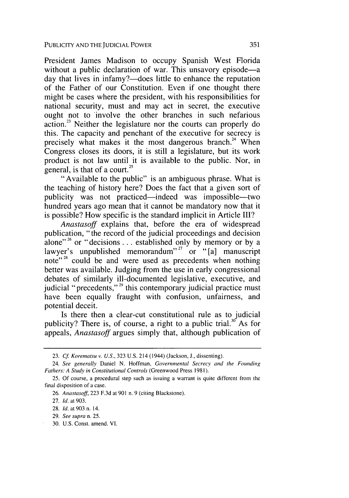President James Madison to occupy Spanish West Florida without a public declaration of war. This unsavory episode—a day that lives in infamy?—does little to enhance the reputation of the Father of our Constitution. Even if one thought there might be cases where the president, with his responsibilities for national security, must and may act in secret, the executive ought not to involve the other branches in such nefarious action.<sup>23</sup> Neither the legislature nor the courts can properly do this. The capacity and penchant of the executive for secrecy is precisely what makes it the most dangerous branch.<sup>24</sup> When Congress closes its doors, it is still a legislature, but its work product is not law until it is available to the public. Nor, in general, is that of a court.<sup>25</sup>

"Available to the public" is an ambiguous phrase. What is the teaching of history here? Does the fact that a given sort of publicity was not practiced-indeed was impossible-two hundred years ago mean that it cannot be mandatory now that it is possible? How specific is the standard implicit in Article **III?**

*Anastasoff* explains that, before the era of widespread publication, "the record of the judicial proceedings and decision alone"<sup>26</sup> or "decisions... established only by memory or by a lawyer's unpublished memorandum"<sup>27</sup> or " $[a]$  manuscript note"<sup>28</sup> could be and were used as precedents when nothing better was available. Judging from the use in early congressional debates of similarly ill-documented legislative, executive, and judicial "precedents,"<sup>29</sup> this contemporary judicial practice must have been equally fraught with confusion, unfairness, and potential deceit.

Is there then a clear-cut constitutional rule as to judicial publicity? There is, of course, a right to a public trial.<sup>30</sup> As for appeals, *Anastasoff* argues simply that, although publication of

28. *Id.* at 903 n. 14.

<sup>23.</sup> Cf Korematsu v. U.S., 323 U.S. 214 (1944) (Jackson, J., dissenting).

<sup>24.</sup> See generally Daniel N. Hoffman, Governmental Secrecy and the Founding Fathers: A Study in Constitutional Controls (Greenwood Press **198 1).**

<sup>25.</sup> Of course, a procedural step such as issuing a warrant is quite different from the final disposition of a case.

*<sup>26.</sup>* Anastasoff, 223 F.3d at 901 n. 9 (citing Blackstone).

<sup>27.</sup> *Id.* at 903.

<sup>29.</sup> See supra n. 25.

<sup>30</sup> U.S. Const. amend. VI.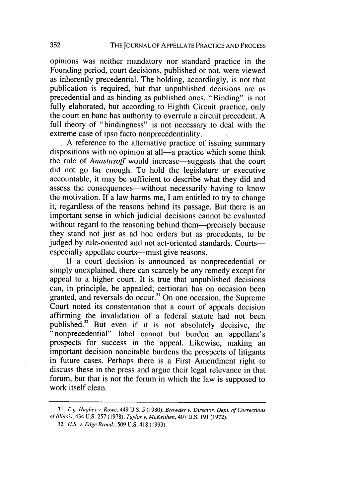opinions was neither mandatory nor standard practice in the Founding period, court decisions, published or not, were viewed as inherently precedential. The holding, accordingly, is not that publication is required, but that unpublished decisions are as precedential and as binding as published ones. "Binding" is not fully elaborated, but according to Eighth Circuit practice, only the court en banc has authority to overrule a circuit precedent. A full theory of "bindingness" is not necessary to deal with the extreme case of ipso facto nonprecedentiality.

A reference to the alternative practice of issuing summary dispositions with no opinion at all—a practice which some think the rule of *Anastasoff* would increase—suggests that the court did not go far enough. To hold the legislature or executive accountable, it may be sufficient to describe what they did and assess the consequences—without necessarily having to know the motivation. If a law harms me, I am entitled to try to change it, regardless of the reasons behind its passage. But there is an important sense in which judicial decisions cannot be evaluated without regard to the reasoning behind them—precisely because they stand not just as ad hoc orders but as precedents, to be judged by rule-oriented and not act-oriented standards. Courtsespecially appellate courts—must give reasons.

If a court decision is announced as nonprecedential or simply unexplained, there can scarcely be any remedy except for appeal to a higher court. It is true that unpublished decisions can, in principle, be appealed; certiorari has on occasion been granted, and reversals do occur.<sup>31</sup> On one occasion, the Supreme Court noted its consternation that a court of appeals decision affirming the invalidation of a federal statute had not been published.<sup>32</sup> But even if it is not absolutely decisive, the "nonprecedential" label cannot but burden an appellant's prospects for success in the appeal. Likewise, making an important decision noncitable burdens the prospects of litigants in future cases. Perhaps there is a First Amendment right to discuss these in the press and argue their legal relevance in that forum, but that is not the forum in which the law is supposed to work itself clean.

<sup>31.</sup> *E.g. Hughes* v. *Rowe,* 449 U.S. 5 (1980); *Browder v. Director, Dept. of Corrections* of Illinois, 434 U.S. 257 (1978); Taylor v. McKeithen, 407 U.S. 191 (1972).

<sup>32.</sup> *U.S.* v. Edge Broad., 509 U.S. 418 (1993).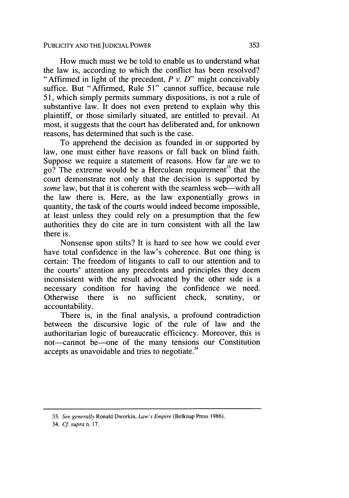How much must we be told to enable us to understand what the law is, according to which the conflict has been resolved? "Affirmed in light of the precedent,  $P v. D$ " might conceivably suffice. But "Affirmed, Rule 51" cannot suffice, because rule 51, which simply permits summary dispositions, is not a rule of substantive law. It does not even pretend to explain why this plaintiff, or those similarly situated, are entitled to prevail. At most, it suggests that the court has deliberated and, for unknown reasons, has determined that such is the case.

To apprehend the decision as founded in or supported by law, one must either have reasons or fall back on blind faith. Suppose we require a statement of reasons. How far are we to  $\overline{g}$  and  $\overline{g}$ ? The extreme would be a Herculean requirement<sup>33</sup> that the court demonstrate not only that the decision is supported by *some* law, but that it is coherent with the seamless web—with all the law there is. Here, as the law exponentially grows in quantity, the task of the courts would indeed become impossible, at least unless they could rely on a presumption that the few authorities they do cite are in turn consistent with all the law there is.

Nonsense upon stilts? It is hard to see how we could ever have total confidence in the law's coherence. But one thing is certain: The freedom of litigants to call to our attention and to the courts' attention any precedents and principles they deem inconsistent with the result advocated by the other side is a necessary condition for having the confidence we need. Otherwise there is no sufficient check, scrutiny, or accountability.

There is, in the final analysis, a profound contradiction between the discursive logic of the rule of law and the authoritarian logic of bureaucratic efficiency. Moreover, this is not—cannot be—one of the many tensions our Constitution accepts as unavoidable and tries to negotiate.<sup>34</sup>

<sup>33.</sup> *See generally* Ronald Dworkin, *Law's Empire* (Belknap Press 1986).

<sup>34.</sup> *Cf supra* n. 17.